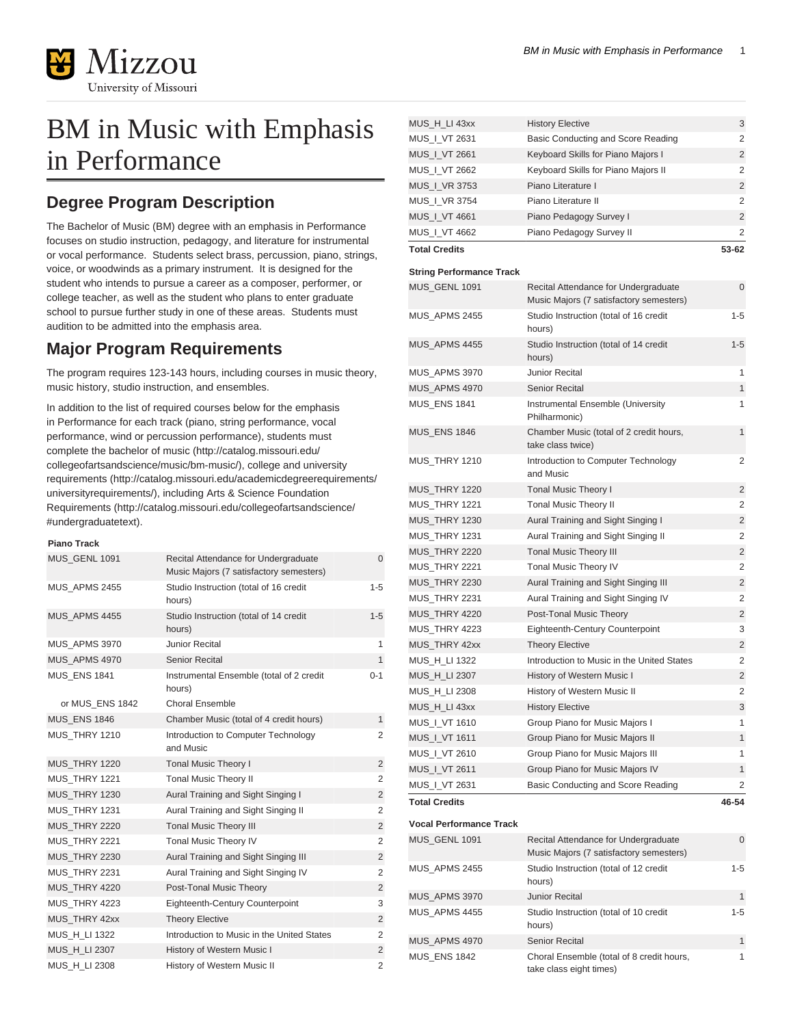

# BM in Music with Emphasis in Performance

# **Degree Program Description**

The Bachelor of Music (BM) degree with an emphasis in Performance focuses on studio instruction, pedagogy, and literature for instrumental or vocal performance. Students select brass, percussion, piano, strings, voice, or woodwinds as a primary instrument. It is designed for the student who intends to pursue a career as a composer, performer, or college teacher, as well as the student who plans to enter graduate school to pursue further study in one of these areas. Students must audition to be admitted into the emphasis area.

# **Major Program Requirements**

The program requires 123-143 hours, including courses in music theory, music history, studio instruction, and ensembles.

In addition to the list of required courses below for the emphasis in Performance for each track (piano, string performance, vocal performance, wind or percussion performance), students must complete the [bachelor of music](http://catalog.missouri.edu/collegeofartsandscience/music/bm-music/) ([http://catalog.missouri.edu/](http://catalog.missouri.edu/collegeofartsandscience/music/bm-music/) [collegeofartsandscience/music/bm-music/](http://catalog.missouri.edu/collegeofartsandscience/music/bm-music/)), college and [university](http://catalog.missouri.edu/academicdegreerequirements/universityrequirements/) [requirements](http://catalog.missouri.edu/academicdegreerequirements/universityrequirements/) ([http://catalog.missouri.edu/academicdegreerequirements/](http://catalog.missouri.edu/academicdegreerequirements/universityrequirements/) [universityrequirements/\)](http://catalog.missouri.edu/academicdegreerequirements/universityrequirements/), including [Arts & Science Foundation](http://catalog.missouri.edu/collegeofartsandscience/#undergraduatetext) [Requirements](http://catalog.missouri.edu/collegeofartsandscience/#undergraduatetext) ([http://catalog.missouri.edu/collegeofartsandscience/](http://catalog.missouri.edu/collegeofartsandscience/#undergraduatetext) [#undergraduatetext](http://catalog.missouri.edu/collegeofartsandscience/#undergraduatetext)).

### **Piano Track**

| MUS GENL 1091        | Recital Attendance for Undergraduate<br>Music Majors (7 satisfactory semesters) | $\mathbf{0}$   |
|----------------------|---------------------------------------------------------------------------------|----------------|
| <b>MUS APMS 2455</b> | Studio Instruction (total of 16 credit<br>hours)                                | 1-5            |
| MUS APMS 4455        | Studio Instruction (total of 14 credit<br>hours)                                | $1 - 5$        |
| MUS APMS 3970        | <b>Junior Recital</b>                                                           | 1              |
| MUS APMS 4970        | Senior Recital                                                                  | $\mathbf{1}$   |
| <b>MUS ENS 1841</b>  | Instrumental Ensemble (total of 2 credit<br>hours)                              | $0 - 1$        |
| or MUS ENS 1842      | Choral Ensemble                                                                 |                |
| <b>MUS ENS 1846</b>  | Chamber Music (total of 4 credit hours)                                         | $\mathbf{1}$   |
| <b>MUS THRY 1210</b> | Introduction to Computer Technology<br>and Music                                | 2              |
| <b>MUS THRY 1220</b> | <b>Tonal Music Theory I</b>                                                     | $\overline{2}$ |
| <b>MUS THRY 1221</b> | <b>Tonal Music Theory II</b>                                                    | 2              |
| <b>MUS THRY 1230</b> | Aural Training and Sight Singing I                                              | $\overline{2}$ |
| <b>MUS THRY 1231</b> | Aural Training and Sight Singing II                                             | $\overline{2}$ |
| <b>MUS THRY 2220</b> | <b>Tonal Music Theory III</b>                                                   | $\overline{2}$ |
| <b>MUS_THRY 2221</b> | Tonal Music Theory IV                                                           | 2              |
| <b>MUS THRY 2230</b> | Aural Training and Sight Singing III                                            | 2              |
| <b>MUS THRY 2231</b> | Aural Training and Sight Singing IV                                             | 2              |
| MUS THRY 4220        | Post-Tonal Music Theory                                                         | $\overline{2}$ |
| <b>MUS THRY 4223</b> | <b>Eighteenth-Century Counterpoint</b>                                          | 3              |
| MUS THRY 42xx        | <b>Theory Elective</b>                                                          | $\overline{2}$ |
| MUS H LI 1322        | Introduction to Music in the United States                                      | $\overline{2}$ |
| MUS_H_LI 2307        | History of Western Music I                                                      | 2              |
| MUS H LI 2308        | History of Western Music II                                                     | $\overline{2}$ |

| MUS_H_LI 43xx                   | <b>History Elective</b>                                                         | 3              |
|---------------------------------|---------------------------------------------------------------------------------|----------------|
| MUS_I_VT 2631                   | Basic Conducting and Score Reading                                              | 2              |
| MUS   VT 2661                   | Keyboard Skills for Piano Majors I                                              | 2              |
| MUS_I_VT 2662                   | Keyboard Skills for Piano Majors II                                             | 2              |
| MUS_I_VR 3753                   | Piano Literature I                                                              | $\overline{2}$ |
| MUS_I_VR 3754                   | Piano Literature II                                                             | 2              |
| MUS_I_VT 4661                   | Piano Pedagogy Survey I                                                         | $\overline{2}$ |
| MUS_I_VT 4662                   | Piano Pedagogy Survey II                                                        | $\overline{2}$ |
| <b>Total Credits</b>            |                                                                                 | 53-62          |
| <b>String Performance Track</b> |                                                                                 |                |
| <b>MUS_GENL 1091</b>            | Recital Attendance for Undergraduate                                            | 0              |
|                                 | Music Majors (7 satisfactory semesters)                                         |                |
| MUS_APMS 2455                   | Studio Instruction (total of 16 credit<br>hours)                                | 1-5            |
| MUS_APMS 4455                   | Studio Instruction (total of 14 credit<br>hours)                                | $1 - 5$        |
| MUS APMS 3970                   | Junior Recital                                                                  | 1              |
| MUS APMS 4970                   | <b>Senior Recital</b>                                                           | $\mathbf{1}$   |
| <b>MUS_ENS 1841</b>             | Instrumental Ensemble (University                                               | 1              |
|                                 | Philharmonic)                                                                   |                |
| <b>MUS ENS 1846</b>             | Chamber Music (total of 2 credit hours,<br>take class twice)                    | $\mathbf{1}$   |
| MUS_THRY 1210                   | Introduction to Computer Technology<br>and Music                                | 2              |
| <b>MUS_THRY 1220</b>            | Tonal Music Theory I                                                            | $\overline{2}$ |
| <b>MUS_THRY 1221</b>            | Tonal Music Theory II                                                           | 2              |
| <b>MUS_THRY 1230</b>            | Aural Training and Sight Singing I                                              | 2              |
| <b>MUS_THRY 1231</b>            | Aural Training and Sight Singing II                                             | 2              |
| <b>MUS_THRY 2220</b>            | <b>Tonal Music Theory III</b>                                                   | 2              |
| MUS_THRY 2221                   | Tonal Music Theory IV                                                           | 2              |
| <b>MUS_THRY 2230</b>            | Aural Training and Sight Singing III                                            | 2              |
| MUS_THRY 2231                   | Aural Training and Sight Singing IV                                             | 2              |
| MUS_THRY 4220                   | Post-Tonal Music Theory                                                         | 2              |
| MUS_THRY 4223                   | Eighteenth-Century Counterpoint                                                 | 3              |
| MUS_THRY 42xx                   | <b>Theory Elective</b>                                                          | 2              |
| MUS_H_LI 1322                   | Introduction to Music in the United States                                      | 2              |
| MUS H LI 2307                   | History of Western Music I                                                      | 2              |
| MUS_H_LI 2308                   | History of Western Music II                                                     | 2              |
| MUS_H_LI 43xx                   | <b>History Elective</b>                                                         | 3              |
| MUS_I_VT 1610                   | Group Piano for Music Majors I                                                  | 1              |
| MUS_I_VT 1611                   | Group Piano for Music Majors II                                                 | $\mathbf{1}$   |
| MUS_I_VT 2610                   | Group Piano for Music Majors III                                                | 1              |
| MUS_I_VT 2611                   | Group Piano for Music Majors IV                                                 | $\mathbf{1}$   |
| MUS_I_VT 2631                   | Basic Conducting and Score Reading                                              | 2              |
| <b>Total Credits</b>            |                                                                                 | 46-54          |
| <b>Vocal Performance Track</b>  |                                                                                 |                |
| <b>MUS_GENL 1091</b>            | Recital Attendance for Undergraduate<br>Music Majors (7 satisfactory semesters) | 0              |
| <b>MUS_APMS 2455</b>            | Studio Instruction (total of 12 credit<br>hours)                                | 1-5            |
| MUS_APMS 3970                   | <b>Junior Recital</b>                                                           | 1              |
| MUS_APMS 4455                   | Studio Instruction (total of 10 credit<br>hours)                                | 1-5            |
| MUS_APMS 4970                   | <b>Senior Recital</b>                                                           | 1              |
| MUS_ENS 1842                    | Choral Ensemble (total of 8 credit hours,<br>take class eight times)            | 1              |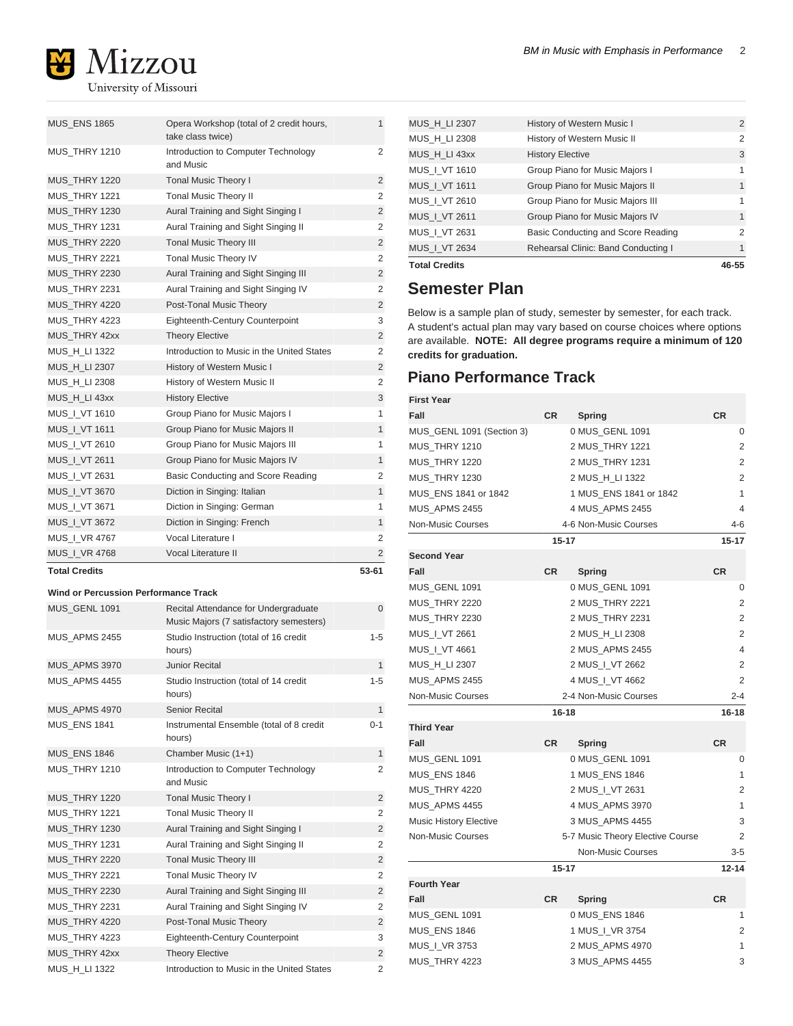

MUS\_ENS 1865 Opera Workshop (total of 2 credit hours, take class twice) 1 MUS\_THRY 1210 Introduction to Computer Technology and Music 2 MUS\_THRY 1220 Tonal Music Theory I 2 MUS\_THRY 1221 Tonal Music Theory II 2 MUS\_THRY 1230 Aural Training and Sight Singing I 2 MUS\_THRY 1231 Aural Training and Sight Singing II 2 MUS\_THRY 2220 Tonal Music Theory III 2 MUS\_THRY 2221 Tonal Music Theory IV 2 MUS\_THRY 2230 Aural Training and Sight Singing III 2 MUS\_THRY 2231 Aural Training and Sight Singing IV 2 MUS\_THRY 4220 Post-Tonal Music Theory 2 MUS\_THRY 4223 Eighteenth-Century Counterpoint 3 MUS\_THRY 42xx Theory Elective 2 MUS\_H\_LI 1322 Introduction to Music in the United States 2 MUS\_H\_LI 2307 History of Western Music I 2 MUS\_H\_LI 2308 History of Western Music II 2 MUS\_H\_LI 43xx History Elective 3 MUS\_I\_VT 1610 Group Piano for Music Majors I 1 MUS\_I\_VT 1611 Group Piano for Music Majors II 1 MUS\_I\_VT 2610 Group Piano for Music Majors III 1 MUS\_I\_VT 2611 Group Piano for Music Majors IV 1 MUS\_I\_VT 2631 Basic Conducting and Score Reading 2 MUS\_I\_VT 3670 Diction in Singing: Italian 1 MUS\_I\_VT 3671 Diction in Singing: German 1 MUS\_I\_VT 3672 Diction in Singing: French MUS\_I\_VR 4767 Vocal Literature I 2 MUS\_I\_VR 4768 Vocal Literature II 2

#### **Total Credits 53-61**

#### **Wind or Percussion Performance Track**

| MUS GENL 1091        | Recital Attendance for Undergraduate<br>Music Majors (7 satisfactory semesters) | $\overline{0}$ |
|----------------------|---------------------------------------------------------------------------------|----------------|
| MUS APMS 2455        | Studio Instruction (total of 16 credit<br>hours)                                | $1 - 5$        |
| MUS_APMS 3970        | <b>Junior Recital</b>                                                           | $\mathbf{1}$   |
| MUS APMS 4455        | Studio Instruction (total of 14 credit<br>hours)                                | $1 - 5$        |
| MUS_APMS 4970        | <b>Senior Recital</b>                                                           | 1              |
| <b>MUS ENS 1841</b>  | Instrumental Ensemble (total of 8 credit<br>hours)                              | $0 - 1$        |
| <b>MUS_ENS 1846</b>  | Chamber Music (1+1)                                                             | $\mathbf{1}$   |
| <b>MUS THRY 1210</b> | Introduction to Computer Technology<br>and Music                                | $\overline{2}$ |
| MUS THRY 1220        | <b>Tonal Music Theory I</b>                                                     | $\overline{2}$ |
| MUS THRY 1221        | <b>Tonal Music Theory II</b>                                                    | $\overline{2}$ |
| MUS THRY 1230        | Aural Training and Sight Singing I                                              | $\overline{2}$ |
| <b>MUS THRY 1231</b> | Aural Training and Sight Singing II                                             | $\overline{2}$ |
| <b>MUS THRY 2220</b> | <b>Tonal Music Theory III</b>                                                   | $\overline{2}$ |
| <b>MUS_THRY 2221</b> | <b>Tonal Music Theory IV</b>                                                    | $\overline{2}$ |
| <b>MUS THRY 2230</b> | Aural Training and Sight Singing III                                            | $\overline{2}$ |
| <b>MUS THRY 2231</b> | Aural Training and Sight Singing IV                                             | $\overline{2}$ |
| MUS THRY 4220        | Post-Tonal Music Theory                                                         | $\overline{2}$ |
| <b>MUS_THRY 4223</b> | <b>Eighteenth-Century Counterpoint</b>                                          | 3              |
| MUS_THRY 42xx        | <b>Theory Elective</b>                                                          | $\overline{2}$ |
| MUS H LI 1322        | Introduction to Music in the United States                                      | $\overline{2}$ |

| <b>Total Credits</b> |                                     | 46-55          |
|----------------------|-------------------------------------|----------------|
| MUS   VT 2634        | Rehearsal Clinic: Band Conducting I | $\mathbf{1}$   |
| MUS   VT 2631        | Basic Conducting and Score Reading  | $\overline{2}$ |
| MUS   VT 2611        | Group Piano for Music Majors IV     | $\mathbf{1}$   |
| MUS   VT 2610        | Group Piano for Music Majors III    | 1              |
| <b>MUS I VT 1611</b> | Group Piano for Music Majors II     | 1              |
| MUS   VT 1610        | Group Piano for Music Majors I      | 1              |
| MUS H LI 43xx        | <b>History Elective</b>             | 3              |
| MUS_H_LI 2308        | History of Western Music II         | $\overline{2}$ |
| <b>MUS H LI 2307</b> | History of Western Music I          | $\overline{2}$ |
|                      |                                     |                |

## **Semester Plan**

Below is a sample plan of study, semester by semester, for each track. A student's actual plan may vary based on course choices where options are available. **NOTE: All degree programs require a minimum of 120 credits for graduation.**

## **Piano Performance Track**

| First Year                    |           |                                  |                |
|-------------------------------|-----------|----------------------------------|----------------|
| Fall                          | <b>CR</b> | Spring                           | <b>CR</b>      |
| MUS_GENL 1091 (Section 3)     |           | 0 MUS_GENL 1091                  | 0              |
| MUS_THRY 1210                 |           | 2 MUS_THRY 1221                  | 2              |
| <b>MUS_THRY 1220</b>          |           | 2 MUS_THRY 1231                  | $\overline{2}$ |
| MUS_THRY 1230                 |           | 2 MUS_H_LI 1322                  | $\overline{2}$ |
| MUS_ENS 1841 or 1842          |           | 1 MUS_ENS 1841 or 1842           | $\mathbf{1}$   |
| MUS_APMS 2455                 |           | 4 MUS_APMS 2455                  | 4              |
| Non-Music Courses             |           | 4-6 Non-Music Courses            | $4 - 6$        |
|                               | $15 - 17$ |                                  | $15 - 17$      |
| <b>Second Year</b>            |           |                                  |                |
| Fall                          | <b>CR</b> | <b>Spring</b>                    | <b>CR</b>      |
| MUS_GENL 1091                 |           | 0 MUS_GENL 1091                  | 0              |
| MUS_THRY 2220                 |           | 2 MUS_THRY 2221                  | 2              |
| MUS_THRY 2230                 |           | 2 MUS_THRY 2231                  | $\overline{2}$ |
| MUS_I_VT 2661                 |           | 2 MUS_H_LI 2308                  | 2              |
| MUS_I_VT 4661                 |           | 2 MUS_APMS 2455                  | 4              |
| MUS_H_LI 2307                 |           | 2 MUS_I_VT 2662                  | 2              |
| MUS_APMS 2455                 |           | 4 MUS_I_VT 4662                  | $\overline{2}$ |
| Non-Music Courses             |           | 2-4 Non-Music Courses            | $2 - 4$        |
|                               | $16 - 18$ |                                  | 16-18          |
| <b>Third Year</b>             |           |                                  |                |
| Fall                          | <b>CR</b> | Spring                           | <b>CR</b>      |
| MUS_GENL 1091                 |           | 0 MUS_GENL 1091                  | 0              |
|                               |           | 1 MUS_ENS 1846                   | 1              |
| MUS_THRY 4220                 |           | 2 MUS_I_VT 2631                  | 2              |
| MUS_APMS 4455                 |           | 4 MUS_APMS 3970                  | 1              |
| <b>Music History Elective</b> |           | 3 MUS APMS 4455                  | 3              |
| Non-Music Courses             |           | 5-7 Music Theory Elective Course | 2              |
|                               |           | <b>Non-Music Courses</b>         | $3-5$          |
|                               | $15 - 17$ |                                  | $12 - 14$      |
| <b>Fourth Year</b>            |           |                                  |                |
| Fall                          | <b>CR</b> | <b>Spring</b>                    | <b>CR</b>      |
| MUS_GENL 1091                 |           | 0 MUS_ENS 1846                   | 1              |
|                               |           | 1 MUS_I_VR 3754                  | 2              |
| MUS_I_VR 3753                 |           | 2 MUS_APMS 4970                  | 1              |
| MUS_THRY 4223                 |           | 3 MUS_APMS 4455                  | 3              |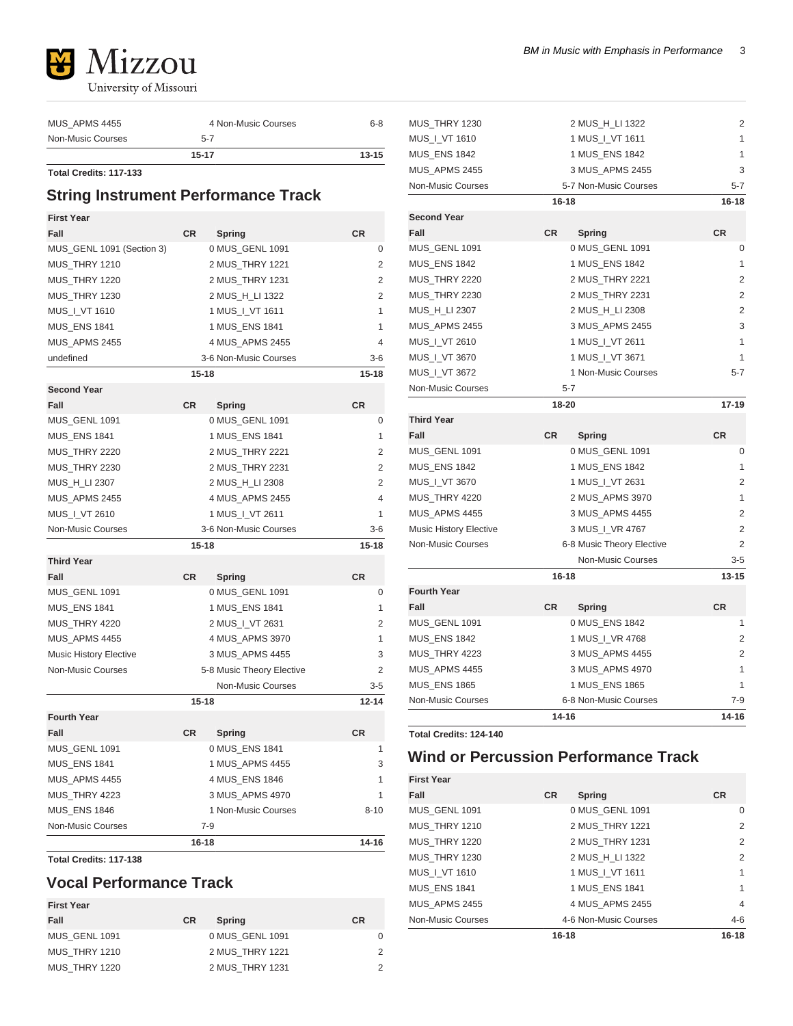

| 15-17               | $13 - 15$ |
|---------------------|-----------|
| $5 - 7$             |           |
| 4 Non-Music Courses | $6 - 8$   |
|                     |           |

**Total Credits: 117-133**

## **String Instrument Performance Track**

| <b>First Year</b>             |           |                           |                |
|-------------------------------|-----------|---------------------------|----------------|
| Fall                          | <b>CR</b> | <b>Spring</b>             | <b>CR</b>      |
| MUS_GENL 1091 (Section 3)     |           | 0 MUS_GENL 1091           | 0              |
| MUS_THRY 1210                 |           | 2 MUS_THRY 1221           | $\overline{2}$ |
| MUS THRY 1220                 |           | 2 MUS THRY 1231           | 2              |
| <b>MUS THRY 1230</b>          |           | 2 MUS_H_LI 1322           | 2              |
| MUS   VT 1610                 |           | 1 MUS   VT 1611           | 1              |
| <b>MUS_ENS 1841</b>           |           | 1 MUS_ENS 1841            | 1              |
| <b>MUS_APMS 2455</b>          |           | 4 MUS_APMS 2455           | 4              |
| undefined                     |           | 3-6 Non-Music Courses     | $3-6$          |
|                               | $15 - 18$ |                           | $15 - 18$      |
| <b>Second Year</b>            |           |                           |                |
| Fall                          | <b>CR</b> | Spring                    | <b>CR</b>      |
| MUS_GENL 1091                 |           | 0 MUS_GENL 1091           | 0              |
| <b>MUS ENS 1841</b>           |           | 1 MUS ENS 1841            | 1              |
| <b>MUS THRY 2220</b>          |           | 2 MUS_THRY 2221           | $\overline{2}$ |
| <b>MUS_THRY 2230</b>          |           | 2 MUS_THRY 2231           | 2              |
| MUS_H_LI 2307                 |           | 2 MUS_H_LI 2308           | 2              |
| <b>MUS_APMS 2455</b>          |           | 4 MUS_APMS 2455           | 4              |
| MUS_I_VT 2610                 |           | 1 MUS   VT 2611           | 1              |
| <b>Non-Music Courses</b>      |           | 3-6 Non-Music Courses     | $3-6$          |
|                               | $15 - 18$ |                           | $15 - 18$      |
| <b>Third Year</b>             |           |                           |                |
| Fall                          | <b>CR</b> | Spring                    | <b>CR</b>      |
| MUS GENL 1091                 |           | 0 MUS GENL 1091           | 0              |
| <b>MUS ENS 1841</b>           |           | 1 MUS_ENS 1841            | 1              |
| MUS_THRY 4220                 |           | 2 MUS_I_VT 2631           | 2              |
| MUS APMS 4455                 |           | 4 MUS_APMS 3970           | 1              |
| <b>Music History Elective</b> |           | 3 MUS_APMS 4455           | 3              |
| <b>Non-Music Courses</b>      |           | 5-8 Music Theory Elective | $\overline{2}$ |
|                               |           | <b>Non-Music Courses</b>  | $3 - 5$        |
|                               | $15 - 18$ |                           | $12 - 14$      |
| <b>Fourth Year</b>            |           |                           |                |
| Fall                          | CR        | Spring                    | CR             |
| MUS_GENL 1091                 |           | 0 MUS_ENS 1841            | 1              |
| <b>MUS_ENS 1841</b>           |           | 1 MUS_APMS 4455           | 3              |
| MUS_APMS 4455                 |           | 4 MUS_ENS 1846            | 1              |
| MUS_THRY 4223                 |           | 3 MUS APMS 4970           | 1              |
| <b>MUS ENS 1846</b>           |           | 1 Non-Music Courses       | $8 - 10$       |
| <b>Non-Music Courses</b>      |           | $7-9$                     |                |
|                               | $16 - 18$ |                           | $14 - 16$      |

**Total Credits: 117-138**

# **Vocal Performance Track**

| <b>First Year</b> |           |                 |           |
|-------------------|-----------|-----------------|-----------|
| Fall              | <b>CR</b> | <b>Spring</b>   | <b>CR</b> |
| MUS GENL 1091     |           | 0 MUS GENL 1091 | 0         |
| MUS THRY 1210     |           | 2 MUS THRY 1221 | 2         |
| MUS THRY 1220     |           | 2 MUS THRY 1231 | 2         |

| MUS_THRY 1230                 | 2 MUS_H_LI 1322           | 2              |
|-------------------------------|---------------------------|----------------|
| MUS_I_VT 1610                 | 1 MUS_I_VT 1611           | 1              |
| <b>MUS ENS 1842</b>           | 1 MUS ENS 1842            | 1              |
| MUS APMS 2455                 | 3 MUS APMS 2455           | 3              |
| <b>Non-Music Courses</b>      | 5-7 Non-Music Courses     | 5-7            |
|                               | $16 - 18$                 | 16-18          |
| <b>Second Year</b>            |                           |                |
| Fall                          | <b>CR</b><br>Spring       | <b>CR</b>      |
| MUS_GENL 1091                 | 0 MUS_GENL 1091           | 0              |
| <b>MUS_ENS 1842</b>           | 1 MUS_ENS 1842            | 1              |
| <b>MUS THRY 2220</b>          | 2 MUS_THRY 2221           | $\overline{2}$ |
| <b>MUS_THRY 2230</b>          | 2 MUS_THRY 2231           | 2              |
| MUS_H_LI 2307                 | 2 MUS_H_LI 2308           | 2              |
| MUS_APMS 2455                 | 3 MUS_APMS 2455           | 3              |
| MUS   VT 2610                 | 1 MUS   VT 2611           | 1              |
| MUS_I_VT 3670                 | 1 MUS_I_VT 3671           | 1              |
| MUS_I_VT 3672                 | 1 Non-Music Courses       | $5 - 7$        |
| Non-Music Courses             | $5 - 7$                   |                |
|                               | 18-20                     | $17-19$        |
| <b>Third Year</b>             |                           |                |
| Fall                          | <b>CR</b><br>Spring       | <b>CR</b>      |
| MUS_GENL 1091                 | 0 MUS_GENL 1091           | 0              |
| <b>MUS ENS 1842</b>           | 1 MUS ENS 1842            | 1              |
| MUS_I_VT 3670                 | 1 MUS_I_VT 2631           | 2              |
| <b>MUS_THRY 4220</b>          | 2 MUS_APMS 3970           | 1              |
| <b>MUS_APMS 4455</b>          | 3 MUS_APMS 4455           | 2              |
| <b>Music History Elective</b> | 3 MUS_I_VR 4767           | 2              |
| <b>Non-Music Courses</b>      | 6-8 Music Theory Elective | $\overline{2}$ |
|                               | Non-Music Courses         | $3 - 5$        |
|                               | 16-18                     | $13 - 15$      |
| <b>Fourth Year</b>            |                           |                |
| Fall                          | <b>CR</b><br>Spring       | <b>CR</b>      |
| MUS_GENL 1091                 | 0 MUS_ENS 1842            | 1              |
| <b>MUS_ENS 1842</b>           | 1 MUS_I_VR 4768           | 2              |
| MUS THRY 4223                 | 3 MUS APMS 4455           | 2              |
| MUS APMS 4455                 | 3 MUS_APMS 4970           | 1              |
| <b>MUS ENS 1865</b>           | 1 MUS ENS 1865            | 1              |
| Non-Music Courses             | 6-8 Non-Music Courses     | 7-9            |
|                               | 14-16                     | $14 - 16$      |

**Total Credits: 124-140**

# **Wind or Percussion Performance Track**

| <b>First Year</b>   |           |                       |           |
|---------------------|-----------|-----------------------|-----------|
| Fall                | <b>CR</b> | Spring                | <b>CR</b> |
| MUS GENL 1091       |           | 0 MUS GENL 1091       | $\Omega$  |
| MUS THRY 1210       |           | 2 MUS THRY 1221       | 2         |
| MUS THRY 1220       |           | 2 MUS THRY 1231       | 2         |
| MUS THRY 1230       |           | 2 MUS H LI 1322       | 2         |
| MUS   VT 1610       |           | 1 MUS   VT 1611       | 1         |
| <b>MUS ENS 1841</b> |           | 1 MUS ENS 1841        | 1         |
| MUS APMS 2455       |           | 4 MUS APMS 2455       | 4         |
| Non-Music Courses   |           | 4-6 Non-Music Courses | $4 - 6$   |
|                     | 16-18     |                       | $16 - 18$ |